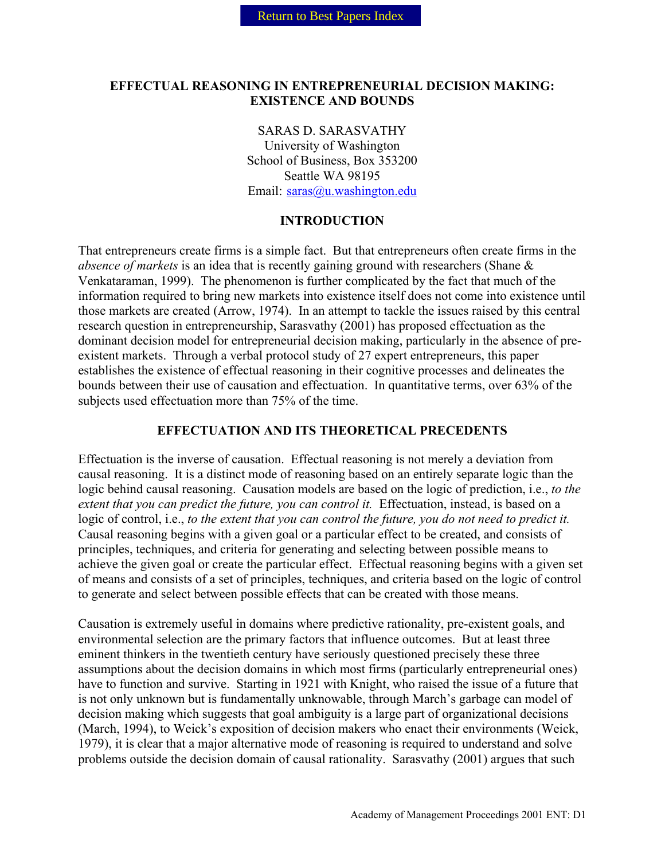#### **EFFECTUAL REASONING IN ENTREPRENEURIAL DECISION MAKING: EXISTENCE AND BOUNDS**

SARAS D. SARASVATHY University of Washington School of Business, Box 353200 Seattle WA 98195 Email: [saras@u.washington.edu](mailto:saras@u.washington.edu)

#### **INTRODUCTION**

That entrepreneurs create firms is a simple fact. But that entrepreneurs often create firms in the *absence of markets* is an idea that is recently gaining ground with researchers (Shane & Venkataraman, 1999). The phenomenon is further complicated by the fact that much of the information required to bring new markets into existence itself does not come into existence until those markets are created (Arrow, 1974). In an attempt to tackle the issues raised by this central research question in entrepreneurship, Sarasvathy (2001) has proposed effectuation as the dominant decision model for entrepreneurial decision making, particularly in the absence of preexistent markets. Through a verbal protocol study of 27 expert entrepreneurs, this paper establishes the existence of effectual reasoning in their cognitive processes and delineates the bounds between their use of causation and effectuation. In quantitative terms, over 63% of the subjects used effectuation more than 75% of the time.

#### **EFFECTUATION AND ITS THEORETICAL PRECEDENTS**

Effectuation is the inverse of causation. Effectual reasoning is not merely a deviation from causal reasoning. It is a distinct mode of reasoning based on an entirely separate logic than the logic behind causal reasoning. Causation models are based on the logic of prediction, i.e., *to the extent that you can predict the future, you can control it.* Effectuation, instead, is based on a logic of control, i.e., *to the extent that you can control the future, you do not need to predict it.* Causal reasoning begins with a given goal or a particular effect to be created, and consists of principles, techniques, and criteria for generating and selecting between possible means to achieve the given goal or create the particular effect. Effectual reasoning begins with a given set of means and consists of a set of principles, techniques, and criteria based on the logic of control to generate and select between possible effects that can be created with those means.

Causation is extremely useful in domains where predictive rationality, pre-existent goals, and environmental selection are the primary factors that influence outcomes. But at least three eminent thinkers in the twentieth century have seriously questioned precisely these three assumptions about the decision domains in which most firms (particularly entrepreneurial ones) have to function and survive. Starting in 1921 with Knight, who raised the issue of a future that is not only unknown but is fundamentally unknowable, through March's garbage can model of decision making which suggests that goal ambiguity is a large part of organizational decisions (March, 1994), to Weick's exposition of decision makers who enact their environments (Weick, 1979), it is clear that a major alternative mode of reasoning is required to understand and solve problems outside the decision domain of causal rationality. Sarasvathy (2001) argues that such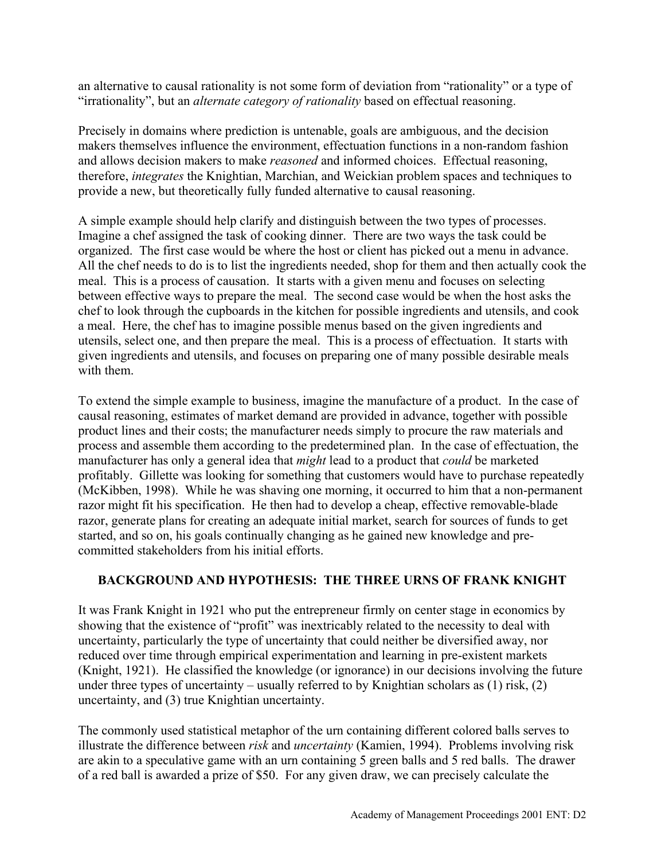an alternative to causal rationality is not some form of deviation from "rationality" or a type of "irrationality", but an *alternate category of rationality* based on effectual reasoning.

Precisely in domains where prediction is untenable, goals are ambiguous, and the decision makers themselves influence the environment, effectuation functions in a non-random fashion and allows decision makers to make *reasoned* and informed choices. Effectual reasoning, therefore, *integrates* the Knightian, Marchian, and Weickian problem spaces and techniques to provide a new, but theoretically fully funded alternative to causal reasoning.

A simple example should help clarify and distinguish between the two types of processes. Imagine a chef assigned the task of cooking dinner. There are two ways the task could be organized. The first case would be where the host or client has picked out a menu in advance. All the chef needs to do is to list the ingredients needed, shop for them and then actually cook the meal. This is a process of causation. It starts with a given menu and focuses on selecting between effective ways to prepare the meal. The second case would be when the host asks the chef to look through the cupboards in the kitchen for possible ingredients and utensils, and cook a meal. Here, the chef has to imagine possible menus based on the given ingredients and utensils, select one, and then prepare the meal. This is a process of effectuation. It starts with given ingredients and utensils, and focuses on preparing one of many possible desirable meals with them.

To extend the simple example to business, imagine the manufacture of a product. In the case of causal reasoning, estimates of market demand are provided in advance, together with possible product lines and their costs; the manufacturer needs simply to procure the raw materials and process and assemble them according to the predetermined plan. In the case of effectuation, the manufacturer has only a general idea that *might* lead to a product that *could* be marketed profitably. Gillette was looking for something that customers would have to purchase repeatedly (McKibben, 1998). While he was shaving one morning, it occurred to him that a non-permanent razor might fit his specification. He then had to develop a cheap, effective removable-blade razor, generate plans for creating an adequate initial market, search for sources of funds to get started, and so on, his goals continually changing as he gained new knowledge and precommitted stakeholders from his initial efforts.

# **BACKGROUND AND HYPOTHESIS: THE THREE URNS OF FRANK KNIGHT**

It was Frank Knight in 1921 who put the entrepreneur firmly on center stage in economics by showing that the existence of "profit" was inextricably related to the necessity to deal with uncertainty, particularly the type of uncertainty that could neither be diversified away, nor reduced over time through empirical experimentation and learning in pre-existent markets (Knight, 1921). He classified the knowledge (or ignorance) in our decisions involving the future under three types of uncertainty – usually referred to by Knightian scholars as  $(1)$  risk,  $(2)$ uncertainty, and (3) true Knightian uncertainty.

The commonly used statistical metaphor of the urn containing different colored balls serves to illustrate the difference between *risk* and *uncertainty* (Kamien, 1994). Problems involving risk are akin to a speculative game with an urn containing 5 green balls and 5 red balls. The drawer of a red ball is awarded a prize of \$50. For any given draw, we can precisely calculate the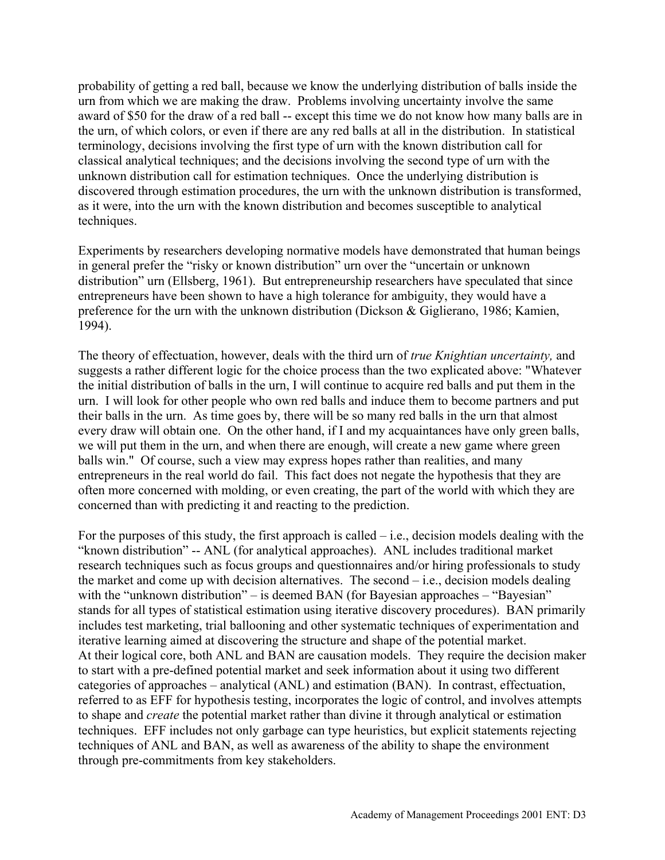probability of getting a red ball, because we know the underlying distribution of balls inside the urn from which we are making the draw. Problems involving uncertainty involve the same award of \$50 for the draw of a red ball -- except this time we do not know how many balls are in the urn, of which colors, or even if there are any red balls at all in the distribution. In statistical terminology, decisions involving the first type of urn with the known distribution call for classical analytical techniques; and the decisions involving the second type of urn with the unknown distribution call for estimation techniques. Once the underlying distribution is discovered through estimation procedures, the urn with the unknown distribution is transformed, as it were, into the urn with the known distribution and becomes susceptible to analytical techniques.

Experiments by researchers developing normative models have demonstrated that human beings in general prefer the "risky or known distribution" urn over the "uncertain or unknown distribution" urn (Ellsberg, 1961). But entrepreneurship researchers have speculated that since entrepreneurs have been shown to have a high tolerance for ambiguity, they would have a preference for the urn with the unknown distribution (Dickson & Giglierano, 1986; Kamien, 1994).

The theory of effectuation, however, deals with the third urn of *true Knightian uncertainty,* and suggests a rather different logic for the choice process than the two explicated above: "Whatever the initial distribution of balls in the urn, I will continue to acquire red balls and put them in the urn. I will look for other people who own red balls and induce them to become partners and put their balls in the urn. As time goes by, there will be so many red balls in the urn that almost every draw will obtain one. On the other hand, if I and my acquaintances have only green balls, we will put them in the urn, and when there are enough, will create a new game where green balls win." Of course, such a view may express hopes rather than realities, and many entrepreneurs in the real world do fail. This fact does not negate the hypothesis that they are often more concerned with molding, or even creating, the part of the world with which they are concerned than with predicting it and reacting to the prediction.

For the purposes of this study, the first approach is called  $-$  i.e., decision models dealing with the "known distribution" -- ANL (for analytical approaches). ANL includes traditional market research techniques such as focus groups and questionnaires and/or hiring professionals to study the market and come up with decision alternatives. The second – i.e., decision models dealing with the "unknown distribution" – is deemed BAN (for Bayesian approaches – "Bayesian" stands for all types of statistical estimation using iterative discovery procedures). BAN primarily includes test marketing, trial ballooning and other systematic techniques of experimentation and iterative learning aimed at discovering the structure and shape of the potential market. At their logical core, both ANL and BAN are causation models. They require the decision maker to start with a pre-defined potential market and seek information about it using two different categories of approaches – analytical (ANL) and estimation (BAN). In contrast, effectuation, referred to as EFF for hypothesis testing, incorporates the logic of control, and involves attempts to shape and *create* the potential market rather than divine it through analytical or estimation techniques. EFF includes not only garbage can type heuristics, but explicit statements rejecting techniques of ANL and BAN, as well as awareness of the ability to shape the environment through pre-commitments from key stakeholders.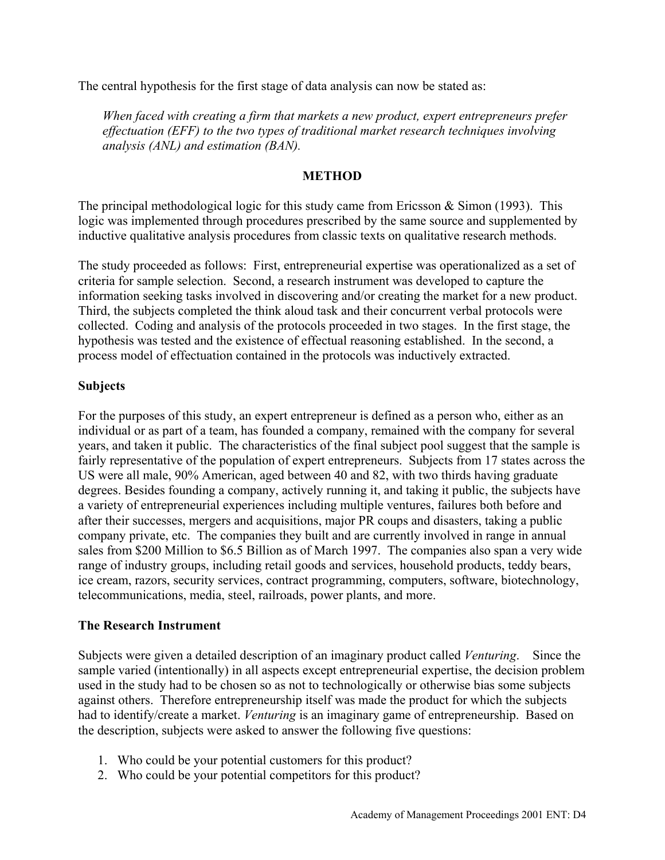The central hypothesis for the first stage of data analysis can now be stated as:

*When faced with creating a firm that markets a new product, expert entrepreneurs prefer effectuation (EFF) to the two types of traditional market research techniques involving analysis (ANL) and estimation (BAN).*

### **METHOD**

The principal methodological logic for this study came from Ericsson  $\&$  Simon (1993). This logic was implemented through procedures prescribed by the same source and supplemented by inductive qualitative analysis procedures from classic texts on qualitative research methods.

The study proceeded as follows: First, entrepreneurial expertise was operationalized as a set of criteria for sample selection. Second, a research instrument was developed to capture the information seeking tasks involved in discovering and/or creating the market for a new product. Third, the subjects completed the think aloud task and their concurrent verbal protocols were collected. Coding and analysis of the protocols proceeded in two stages. In the first stage, the hypothesis was tested and the existence of effectual reasoning established. In the second, a process model of effectuation contained in the protocols was inductively extracted.

#### **Subjects**

For the purposes of this study, an expert entrepreneur is defined as a person who, either as an individual or as part of a team, has founded a company, remained with the company for several years, and taken it public. The characteristics of the final subject pool suggest that the sample is fairly representative of the population of expert entrepreneurs. Subjects from 17 states across the US were all male, 90% American, aged between 40 and 82, with two thirds having graduate degrees. Besides founding a company, actively running it, and taking it public, the subjects have a variety of entrepreneurial experiences including multiple ventures, failures both before and after their successes, mergers and acquisitions, major PR coups and disasters, taking a public company private, etc. The companies they built and are currently involved in range in annual sales from \$200 Million to \$6.5 Billion as of March 1997. The companies also span a very wide range of industry groups, including retail goods and services, household products, teddy bears, ice cream, razors, security services, contract programming, computers, software, biotechnology, telecommunications, media, steel, railroads, power plants, and more.

# **The Research Instrument**

Subjects were given a detailed description of an imaginary product called *Venturing*. Since the sample varied (intentionally) in all aspects except entrepreneurial expertise, the decision problem used in the study had to be chosen so as not to technologically or otherwise bias some subjects against others. Therefore entrepreneurship itself was made the product for which the subjects had to identify/create a market. *Venturing* is an imaginary game of entrepreneurship. Based on the description, subjects were asked to answer the following five questions:

- 1. Who could be your potential customers for this product?
- 2. Who could be your potential competitors for this product?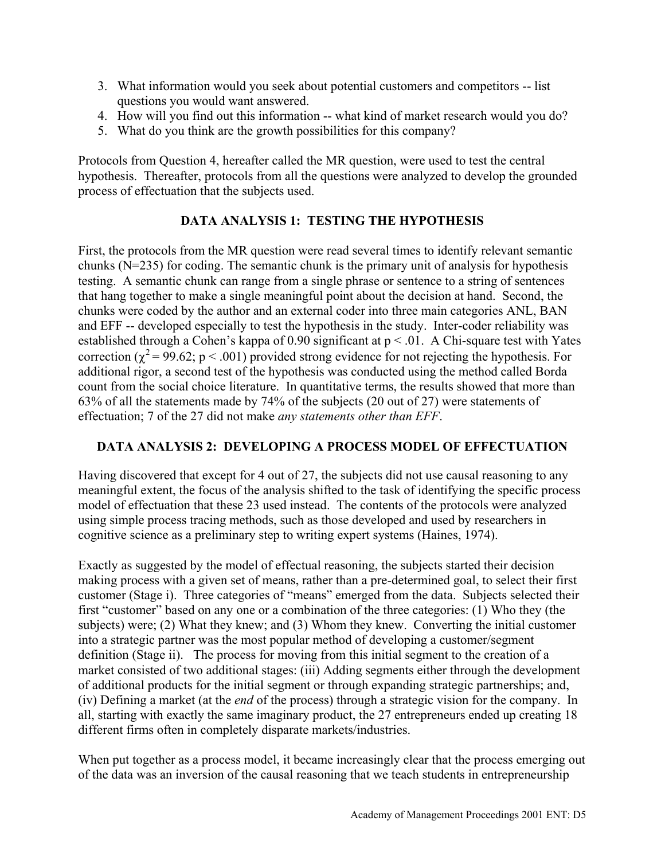- 3. What information would you seek about potential customers and competitors -- list questions you would want answered.
- 4. How will you find out this information -- what kind of market research would you do?
- 5. What do you think are the growth possibilities for this company?

Protocols from Question 4, hereafter called the MR question, were used to test the central hypothesis. Thereafter, protocols from all the questions were analyzed to develop the grounded process of effectuation that the subjects used.

# **DATA ANALYSIS 1: TESTING THE HYPOTHESIS**

First, the protocols from the MR question were read several times to identify relevant semantic chunks (N=235) for coding. The semantic chunk is the primary unit of analysis for hypothesis testing. A semantic chunk can range from a single phrase or sentence to a string of sentences that hang together to make a single meaningful point about the decision at hand. Second, the chunks were coded by the author and an external coder into three main categories ANL, BAN and EFF -- developed especially to test the hypothesis in the study. Inter-coder reliability was established through a Cohen's kappa of 0.90 significant at  $p < 0.01$ . A Chi-square test with Yates correction ( $\chi^2$  = 99.62; p < .001) provided strong evidence for not rejecting the hypothesis. For additional rigor, a second test of the hypothesis was conducted using the method called Borda count from the social choice literature. In quantitative terms, the results showed that more than 63% of all the statements made by 74% of the subjects (20 out of 27) were statements of effectuation; 7 of the 27 did not make *any statements other than EFF*.

# **DATA ANALYSIS 2: DEVELOPING A PROCESS MODEL OF EFFECTUATION**

Having discovered that except for 4 out of 27, the subjects did not use causal reasoning to any meaningful extent, the focus of the analysis shifted to the task of identifying the specific process model of effectuation that these 23 used instead. The contents of the protocols were analyzed using simple process tracing methods, such as those developed and used by researchers in cognitive science as a preliminary step to writing expert systems (Haines, 1974).

Exactly as suggested by the model of effectual reasoning, the subjects started their decision making process with a given set of means, rather than a pre-determined goal, to select their first customer (Stage i). Three categories of "means" emerged from the data. Subjects selected their first "customer" based on any one or a combination of the three categories: (1) Who they (the subjects) were; (2) What they knew; and (3) Whom they knew. Converting the initial customer into a strategic partner was the most popular method of developing a customer/segment definition (Stage ii). The process for moving from this initial segment to the creation of a market consisted of two additional stages: (iii) Adding segments either through the development of additional products for the initial segment or through expanding strategic partnerships; and, (iv) Defining a market (at the *end* of the process) through a strategic vision for the company. In all, starting with exactly the same imaginary product, the 27 entrepreneurs ended up creating 18 different firms often in completely disparate markets/industries.

When put together as a process model, it became increasingly clear that the process emerging out of the data was an inversion of the causal reasoning that we teach students in entrepreneurship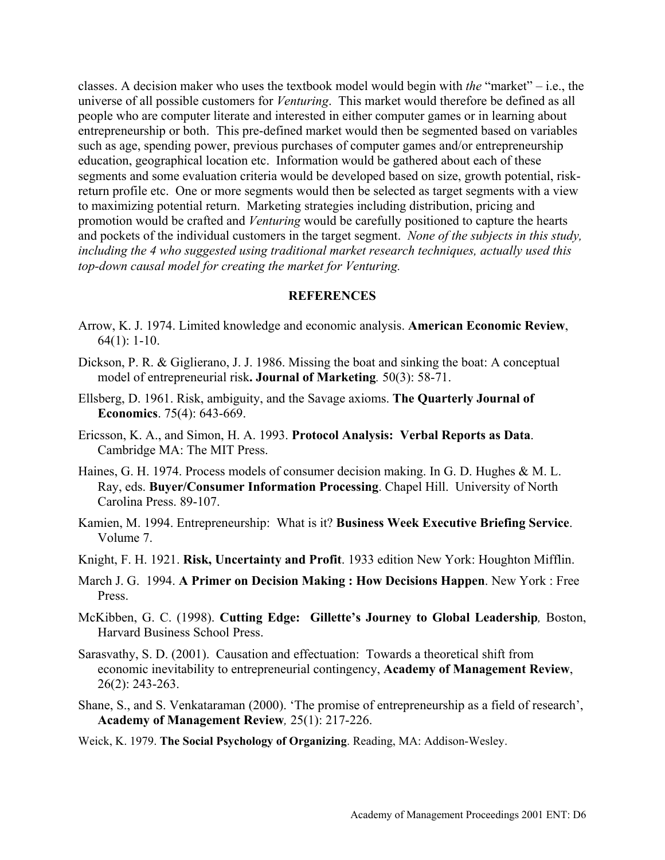classes. A decision maker who uses the textbook model would begin with *the* "market" – i.e., the universe of all possible customers for *Venturing*. This market would therefore be defined as all people who are computer literate and interested in either computer games or in learning about entrepreneurship or both. This pre-defined market would then be segmented based on variables such as age, spending power, previous purchases of computer games and/or entrepreneurship education, geographical location etc. Information would be gathered about each of these segments and some evaluation criteria would be developed based on size, growth potential, riskreturn profile etc. One or more segments would then be selected as target segments with a view to maximizing potential return. Marketing strategies including distribution, pricing and promotion would be crafted and *Venturing* would be carefully positioned to capture the hearts and pockets of the individual customers in the target segment. *None of the subjects in this study, including the 4 who suggested using traditional market research techniques, actually used this top-down causal model for creating the market for Venturing.* 

#### **REFERENCES**

- Arrow, K. J. 1974. Limited knowledge and economic analysis. **American Economic Review**, 64(1): 1-10.
- Dickson, P. R. & Giglierano, J. J. 1986. Missing the boat and sinking the boat: A conceptual model of entrepreneurial risk**. Journal of Marketing***.* 50(3): 58-71.
- Ellsberg, D. 1961. Risk, ambiguity, and the Savage axioms. **The Quarterly Journal of Economics**. 75(4): 643-669.
- Ericsson, K. A., and Simon, H. A. 1993. **Protocol Analysis: Verbal Reports as Data**. Cambridge MA: The MIT Press.
- Haines, G. H. 1974. Process models of consumer decision making. In G. D. Hughes & M. L. Ray, eds. **Buyer/Consumer Information Processing**. Chapel Hill. University of North Carolina Press. 89-107.
- Kamien, M. 1994. Entrepreneurship: What is it? **Business Week Executive Briefing Service**. Volume 7.
- Knight, F. H. 1921. **Risk, Uncertainty and Profit**. 1933 edition New York: Houghton Mifflin.
- March J. G. 1994. **A Primer on Decision Making : How Decisions Happen**. New York : Free Press.
- McKibben, G. C. (1998). **Cutting Edge: Gillette's Journey to Global Leadership***,* Boston, Harvard Business School Press.
- Sarasvathy, S. D. (2001). Causation and effectuation: Towards a theoretical shift from economic inevitability to entrepreneurial contingency, **Academy of Management Review**, 26(2): 243-263.
- Shane, S., and S. Venkataraman (2000). 'The promise of entrepreneurship as a field of research', **Academy of Management Review***,* 25(1): 217-226.
- Weick, K. 1979. **The Social Psychology of Organizing**. Reading, MA: Addison-Wesley.